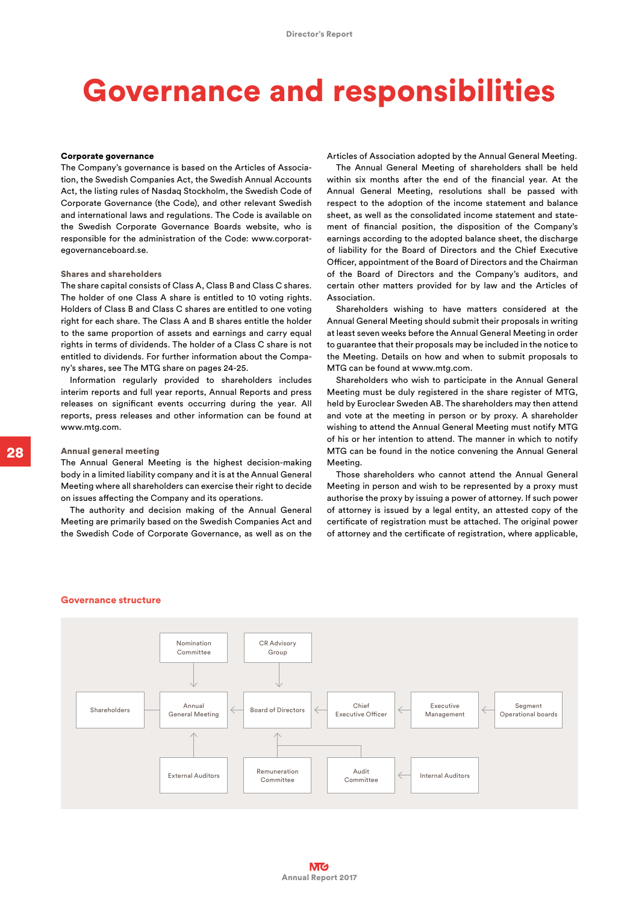# Governance and responsibilities

#### Corporate governance

The Company's governance is based on the Articles of Association, the Swedish Companies Act, the Swedish Annual Accounts Act, the listing rules of Nasdaq Stockholm, the Swedish Code of Corporate Governance (the Code), and other relevant Swedish and international laws and regulations. The Code is available on the Swedish Corporate Governance Boards website, who is responsible for the administration of the Code: www.corporategovernanceboard.se.

## Shares and shareholders

The share capital consists of Class A, Class B and Class C shares. The holder of one Class A share is entitled to 10 voting rights. Holders of Class B and Class C shares are entitled to one voting right for each share. The Class A and B shares entitle the holder to the same proportion of assets and earnings and carry equal rights in terms of dividends. The holder of a Class C share is not entitled to dividends. For further information about the Company's shares, see The MTG share on pages 24-25.

Information regularly provided to shareholders includes interim reports and full year reports, Annual Reports and press releases on significant events occurring during the year. All reports, press releases and other information can be found at www.mtg.com.

## Annual general meeting

The Annual General Meeting is the highest decision-making body in a limited liability company and it is at the Annual General Meeting where all shareholders can exercise their right to decide on issues affecting the Company and its operations.

The authority and decision making of the Annual General Meeting are primarily based on the Swedish Companies Act and the Swedish Code of Corporate Governance, as well as on the Articles of Association adopted by the Annual General Meeting.

The Annual General Meeting of shareholders shall be held within six months after the end of the financial year. At the Annual General Meeting, resolutions shall be passed with respect to the adoption of the income statement and balance sheet, as well as the consolidated income statement and statement of financial position, the disposition of the Company's earnings according to the adopted balance sheet, the discharge of liability for the Board of Directors and the Chief Executive Officer, appointment of the Board of Directors and the Chairman of the Board of Directors and the Company's auditors, and certain other matters provided for by law and the Articles of Association.

Shareholders wishing to have matters considered at the Annual General Meeting should submit their proposals in writing at least seven weeks before the Annual General Meeting in order to guarantee that their proposals may be included in the notice to the Meeting. Details on how and when to submit proposals to MTG can be found at www.mtg.com.

Shareholders who wish to participate in the Annual General Meeting must be duly registered in the share register of MTG, held by Euroclear Sweden AB. The shareholders may then attend and vote at the meeting in person or by proxy. A shareholder wishing to attend the Annual General Meeting must notify MTG of his or her intention to attend. The manner in which to notify MTG can be found in the notice convening the Annual General Meeting.

Those shareholders who cannot attend the Annual General Meeting in person and wish to be represented by a proxy must authorise the proxy by issuing a power of attorney. If such power of attorney is issued by a legal entity, an attested copy of the certificate of registration must be attached. The original power of attorney and the certificate of registration, where applicable,

#### Governance structure

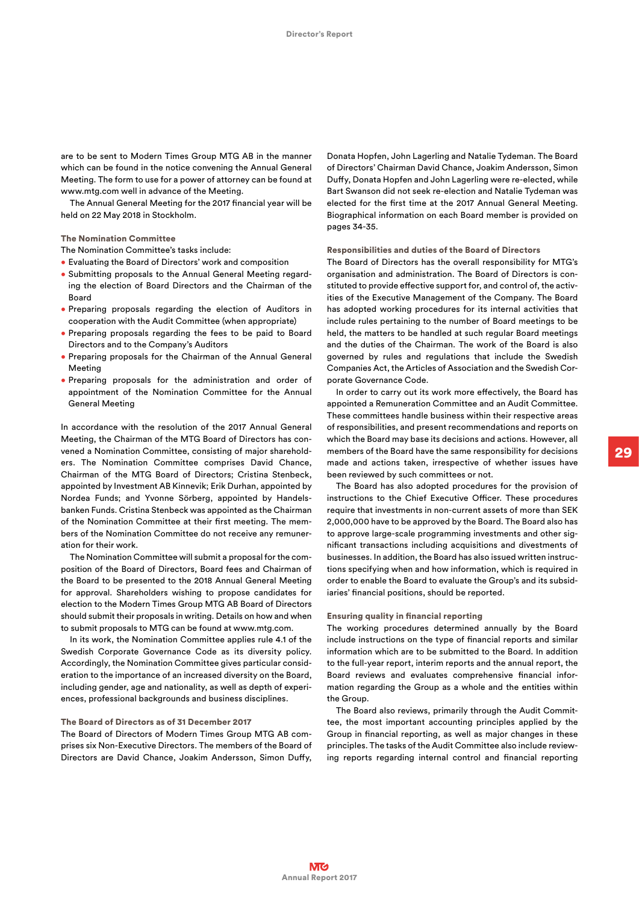are to be sent to Modern Times Group MTG AB in the manner which can be found in the notice convening the Annual General Meeting. The form to use for a power of attorney can be found at www.mtg.com well in advance of the Meeting.

The Annual General Meeting for the 2017 financial year will be held on 22 May 2018 in Stockholm.

#### The Nomination Committee

The Nomination Committee's tasks include:

- Evaluating the Board of Directors' work and composition
- Submitting proposals to the Annual General Meeting regarding the election of Board Directors and the Chairman of the Board
- Preparing proposals regarding the election of Auditors in cooperation with the Audit Committee (when appropriate)
- Preparing proposals regarding the fees to be paid to Board Directors and to the Company's Auditors
- Preparing proposals for the Chairman of the Annual General Meeting
- Preparing proposals for the administration and order of appointment of the Nomination Committee for the Annual General Meeting

In accordance with the resolution of the 2017 Annual General Meeting, the Chairman of the MTG Board of Directors has convened a Nomination Committee, consisting of major shareholders. The Nomination Committee comprises David Chance, Chairman of the MTG Board of Directors; Cristina Stenbeck, appointed by Investment AB Kinnevik; Erik Durhan, appointed by Nordea Funds; and Yvonne Sörberg, appointed by Handelsbanken Funds. Cristina Stenbeck was appointed as the Chairman of the Nomination Committee at their first meeting. The members of the Nomination Committee do not receive any remuneration for their work.

The Nomination Committee will submit a proposal for the composition of the Board of Directors, Board fees and Chairman of the Board to be presented to the 2018 Annual General Meeting for approval. Shareholders wishing to propose candidates for election to the Modern Times Group MTG AB Board of Directors should submit their proposals in writing. Details on how and when to submit proposals to MTG can be found at www.mtg.com.

In its work, the Nomination Committee applies rule 4.1 of the Swedish Corporate Governance Code as its diversity policy. Accordingly, the Nomination Committee gives particular consideration to the importance of an increased diversity on the Board, including gender, age and nationality, as well as depth of experiences, professional backgrounds and business disciplines.

# The Board of Directors as of 31 December 2017

The Board of Directors of Modern Times Group MTG AB comprises six Non-Executive Directors. The members of the Board of Directors are David Chance, Joakim Andersson, Simon Duffy,

Donata Hopfen, John Lagerling and Natalie Tydeman. The Board of Directors' Chairman David Chance, Joakim Andersson, Simon Duffy, Donata Hopfen and John Lagerling were re-elected, while Bart Swanson did not seek re-election and Natalie Tydeman was elected for the first time at the 2017 Annual General Meeting. Biographical information on each Board member is provided on pages 34-35.

#### Responsibilities and duties of the Board of Directors

The Board of Directors has the overall responsibility for MTG's organisation and administration. The Board of Directors is constituted to provide effective support for, and control of, the activities of the Executive Management of the Company. The Board has adopted working procedures for its internal activities that include rules pertaining to the number of Board meetings to be held, the matters to be handled at such regular Board meetings and the duties of the Chairman. The work of the Board is also governed by rules and regulations that include the Swedish Companies Act, the Articles of Association and the Swedish Corporate Governance Code.

In order to carry out its work more effectively, the Board has appointed a Remuneration Committee and an Audit Committee. These committees handle business within their respective areas of responsibilities, and present recommendations and reports on which the Board may base its decisions and actions. However, all members of the Board have the same responsibility for decisions made and actions taken, irrespective of whether issues have been reviewed by such committees or not.

The Board has also adopted procedures for the provision of instructions to the Chief Executive Officer. These procedures require that investments in non-current assets of more than SEK 2,000,000 have to be approved by the Board. The Board also has to approve large-scale programming investments and other significant transactions including acquisitions and divestments of businesses. In addition, the Board has also issued written instructions specifying when and how information, which is required in order to enable the Board to evaluate the Group's and its subsidiaries' financial positions, should be reported.

## Ensuring quality in financial reporting

The working procedures determined annually by the Board include instructions on the type of financial reports and similar information which are to be submitted to the Board. In addition to the full-year report, interim reports and the annual report, the Board reviews and evaluates comprehensive financial information regarding the Group as a whole and the entities within the Group.

The Board also reviews, primarily through the Audit Committee, the most important accounting principles applied by the Group in financial reporting, as well as major changes in these principles. The tasks of the Audit Committee also include reviewing reports regarding internal control and financial reporting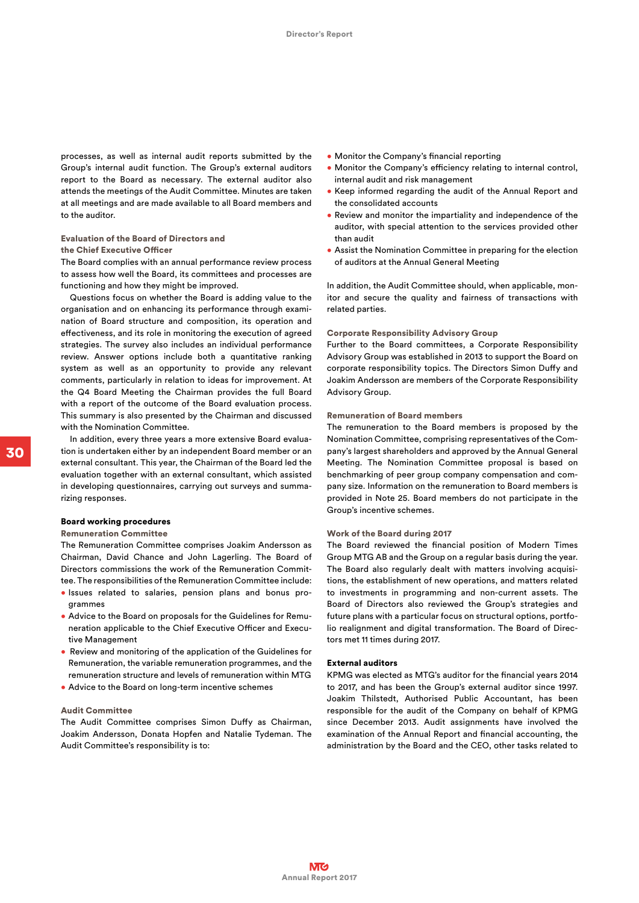processes, as well as internal audit reports submitted by the Group's internal audit function. The Group's external auditors report to the Board as necessary. The external auditor also attends the meetings of the Audit Committee. Minutes are taken at all meetings and are made available to all Board members and to the auditor.

#### Evaluation of the Board of Directors and

#### the Chief Executive Officer

The Board complies with an annual performance review process to assess how well the Board, its committees and processes are functioning and how they might be improved.

Questions focus on whether the Board is adding value to the organisation and on enhancing its performance through examination of Board structure and composition, its operation and effectiveness, and its role in monitoring the execution of agreed strategies. The survey also includes an individual performance review. Answer options include both a quantitative ranking system as well as an opportunity to provide any relevant comments, particularly in relation to ideas for improvement. At the Q4 Board Meeting the Chairman provides the full Board with a report of the outcome of the Board evaluation process. This summary is also presented by the Chairman and discussed with the Nomination Committee.

In addition, every three years a more extensive Board evaluation is undertaken either by an independent Board member or an external consultant. This year, the Chairman of the Board led the evaluation together with an external consultant, which assisted in developing questionnaires, carrying out surveys and summarizing responses.

## Board working procedures

# Remuneration Committee

The Remuneration Committee comprises Joakim Andersson as Chairman, David Chance and John Lagerling. The Board of Directors commissions the work of the Remuneration Committee. The responsibilities of the Remuneration Committee include:

- Issues related to salaries, pension plans and bonus programmes
- Advice to the Board on proposals for the Guidelines for Remuneration applicable to the Chief Executive Officer and Executive Management
- Review and monitoring of the application of the Guidelines for Remuneration, the variable remuneration programmes, and the remuneration structure and levels of remuneration within MTG
- Advice to the Board on long-term incentive schemes

## Audit Committee

The Audit Committee comprises Simon Duffy as Chairman, Joakim Andersson, Donata Hopfen and Natalie Tydeman. The Audit Committee's responsibility is to:

- Monitor the Company's financial reporting
- Monitor the Company's efficiency relating to internal control, internal audit and risk management
- Keep informed regarding the audit of the Annual Report and the consolidated accounts
- Review and monitor the impartiality and independence of the auditor, with special attention to the services provided other than audit
- Assist the Nomination Committee in preparing for the election of auditors at the Annual General Meeting

In addition, the Audit Committee should, when applicable, monitor and secure the quality and fairness of transactions with related parties.

#### Corporate Responsibility Advisory Group

Further to the Board committees, a Corporate Responsibility Advisory Group was established in 2013 to support the Board on corporate responsibility topics. The Directors Simon Duffy and Joakim Andersson are members of the Corporate Responsibility Advisory Group.

# Remuneration of Board members

The remuneration to the Board members is proposed by the Nomination Committee, comprising representatives of the Company's largest shareholders and approved by the Annual General Meeting. The Nomination Committee proposal is based on benchmarking of peer group company compensation and company size. Information on the remuneration to Board members is provided in Note 25. Board members do not participate in the Group's incentive schemes.

# Work of the Board during 2017

The Board reviewed the financial position of Modern Times Group MTG AB and the Group on a regular basis during the year. The Board also regularly dealt with matters involving acquisitions, the establishment of new operations, and matters related to investments in programming and non-current assets. The Board of Directors also reviewed the Group's strategies and future plans with a particular focus on structural options, portfolio realignment and digital transformation. The Board of Directors met 11 times during 2017.

# External auditors

KPMG was elected as MTG's auditor for the financial years 2014 to 2017, and has been the Group's external auditor since 1997. Joakim Thilstedt, Authorised Public Accountant, has been responsible for the audit of the Company on behalf of KPMG since December 2013. Audit assignments have involved the examination of the Annual Report and financial accounting, the administration by the Board and the CEO, other tasks related to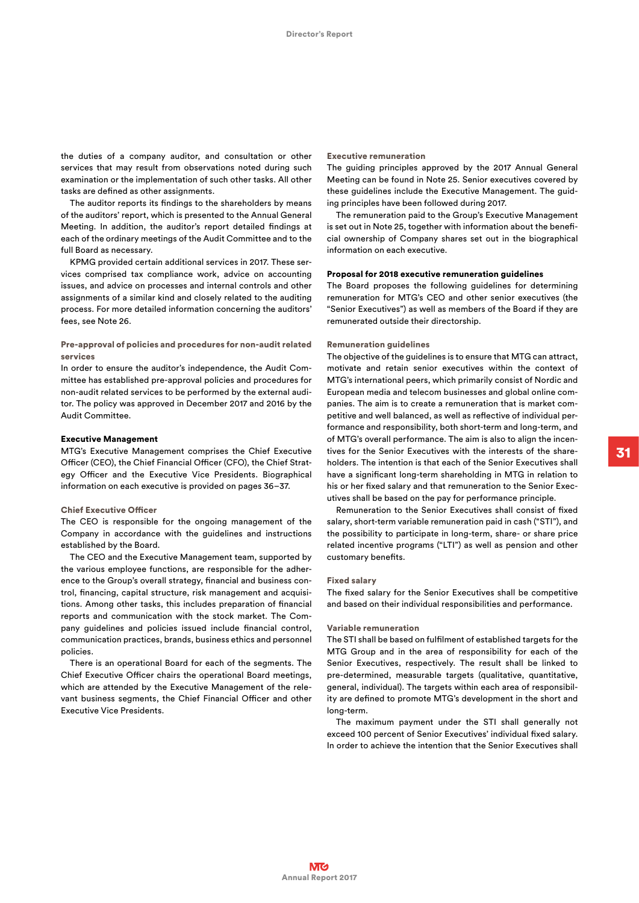the duties of a company auditor, and consultation or other services that may result from observations noted during such examination or the implementation of such other tasks. All other tasks are defined as other assignments.

The auditor reports its findings to the shareholders by means of the auditors' report, which is presented to the Annual General Meeting. In addition, the auditor's report detailed findings at each of the ordinary meetings of the Audit Committee and to the full Board as necessary.

KPMG provided certain additional services in 2017. These services comprised tax compliance work, advice on accounting issues, and advice on processes and internal controls and other assignments of a similar kind and closely related to the auditing process. For more detailed information concerning the auditors' fees, see Note 26.

# Pre-approval of policies and procedures for non-audit related services

In order to ensure the auditor's independence, the Audit Committee has established pre-approval policies and procedures for non-audit related services to be performed by the external auditor. The policy was approved in December 2017 and 2016 by the Audit Committee.

# Executive Management

MTG's Executive Management comprises the Chief Executive Officer (CEO), the Chief Financial Officer (CFO), the Chief Strategy Officer and the Executive Vice Presidents. Biographical information on each executive is provided on pages 36–37.

#### Chief Executive Officer

The CEO is responsible for the ongoing management of the Company in accordance with the guidelines and instructions established by the Board.

The CEO and the Executive Management team, supported by the various employee functions, are responsible for the adherence to the Group's overall strategy, financial and business control, financing, capital structure, risk management and acquisitions. Among other tasks, this includes preparation of financial reports and communication with the stock market. The Company guidelines and policies issued include financial control, communication practices, brands, business ethics and personnel policies.

There is an operational Board for each of the segments. The Chief Executive Officer chairs the operational Board meetings, which are attended by the Executive Management of the relevant business segments, the Chief Financial Officer and other Executive Vice Presidents.

#### Executive remuneration

The guiding principles approved by the 2017 Annual General Meeting can be found in Note 25. Senior executives covered by these guidelines include the Executive Management. The guiding principles have been followed during 2017.

The remuneration paid to the Group's Executive Management is set out in Note 25, together with information about the beneficial ownership of Company shares set out in the biographical information on each executive.

# Proposal for 2018 executive remuneration guidelines

The Board proposes the following guidelines for determining remuneration for MTG's CEO and other senior executives (the "Senior Executives") as well as members of the Board if they are remunerated outside their directorship.

# Remuneration guidelines

The objective of the guidelines is to ensure that MTG can attract, motivate and retain senior executives within the context of MTG's international peers, which primarily consist of Nordic and European media and telecom businesses and global online companies. The aim is to create a remuneration that is market competitive and well balanced, as well as reflective of individual performance and responsibility, both short-term and long-term, and of MTG's overall performance. The aim is also to align the incentives for the Senior Executives with the interests of the shareholders. The intention is that each of the Senior Executives shall have a significant long-term shareholding in MTG in relation to his or her fixed salary and that remuneration to the Senior Executives shall be based on the pay for performance principle.

Remuneration to the Senior Executives shall consist of fixed salary, short-term variable remuneration paid in cash ("STI"), and the possibility to participate in long-term, share- or share price related incentive programs ("LTI") as well as pension and other customary benefits.

# Fixed salary

The fixed salary for the Senior Executives shall be competitive and based on their individual responsibilities and performance.

## Variable remuneration

The STI shall be based on fulfilment of established targets for the MTG Group and in the area of responsibility for each of the Senior Executives, respectively. The result shall be linked to pre-determined, measurable targets (qualitative, quantitative, general, individual). The targets within each area of responsibility are defined to promote MTG's development in the short and long-term.

The maximum payment under the STI shall generally not exceed 100 percent of Senior Executives' individual fixed salary. In order to achieve the intention that the Senior Executives shall